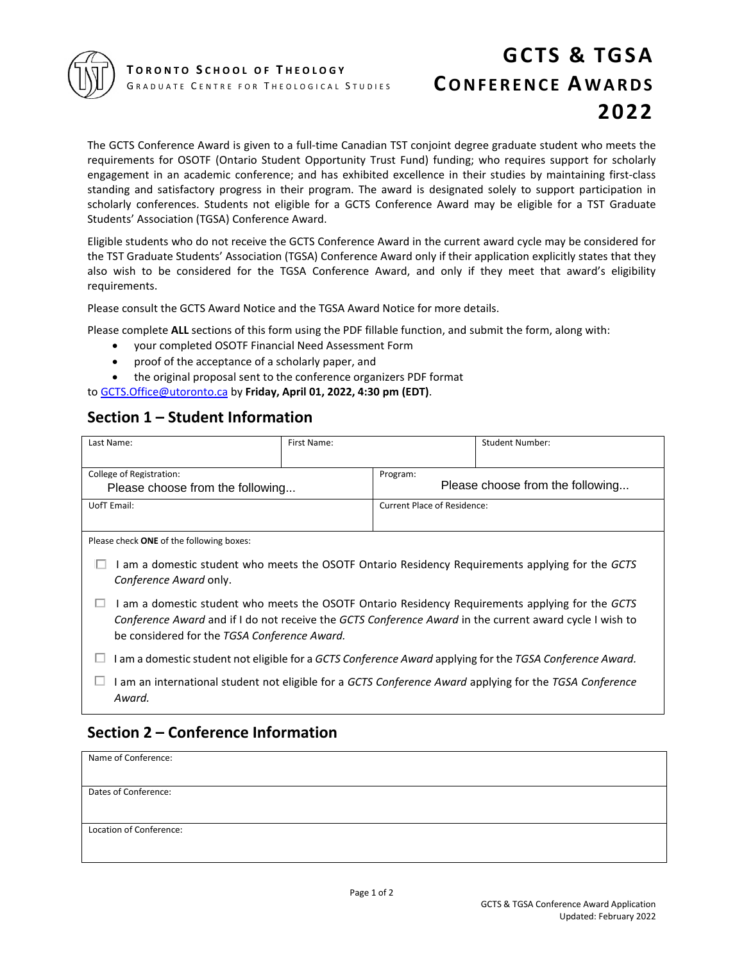

# **GCTS & TGSA CONFERENCE AWARDS 2022**

The GCTS Conference Award is given to a full-time Canadian TST conjoint degree graduate student who meets the requirements for OSOTF (Ontario Student Opportunity Trust Fund) funding; who requires support for scholarly engagement in an academic conference; and has exhibited excellence in their studies by maintaining first-class standing and satisfactory progress in their program. The award is designated solely to support participation in scholarly conferences. Students not eligible for a GCTS Conference Award may be eligible for a TST Graduate Students' Association (TGSA) Conference Award.

Eligible students who do not receive the GCTS Conference Award in the current award cycle may be considered for the TST Graduate Students' Association (TGSA) Conference Award only if their application explicitly states that they also wish to be considered for the TGSA Conference Award, and only if they meet that award's eligibility requirements.

Please consult the GCTS Award Notice and the TGSA Award Notice for more details.

Please complete **ALL** sections of this form using the PDF fillable function, and submit the form, along with:

- your completed OSOTF Financial Need Assessment Form
- proof of the acceptance of a scholarly paper, and
- the original proposal sent to the conference organizers PDF format

to [GCTS.Office@utoronto.ca](mailto:GCTS.Office@utoronto.ca) by **Friday, April 01, 2022, 4:30 pm (EDT)**.

#### **Section 1 – Student Information**

| Last Name:                                                                                                                                                                                                                                                       | First Name: |                                              | <b>Student Number:</b> |  |  |
|------------------------------------------------------------------------------------------------------------------------------------------------------------------------------------------------------------------------------------------------------------------|-------------|----------------------------------------------|------------------------|--|--|
| College of Registration:<br>Please choose from the following                                                                                                                                                                                                     |             | Program:<br>Please choose from the following |                        |  |  |
| UofT Email:                                                                                                                                                                                                                                                      |             | <b>Current Place of Residence:</b>           |                        |  |  |
| Please check ONE of the following boxes:<br>I am a domestic student who meets the OSOTF Ontario Residency Requirements applying for the GCTS<br>Conference Award only.                                                                                           |             |                                              |                        |  |  |
| I am a domestic student who meets the OSOTF Ontario Residency Requirements applying for the GCTS<br>ப<br>Conference Award and if I do not receive the GCTS Conference Award in the current award cycle I wish to<br>be considered for the TGSA Conference Award. |             |                                              |                        |  |  |
| I am a domestic student not eligible for a GCTS Conference Award applying for the TGSA Conference Award.                                                                                                                                                         |             |                                              |                        |  |  |
| I am an international student not eligible for a GCTS Conference Award applying for the TGSA Conference<br>Award.                                                                                                                                                |             |                                              |                        |  |  |

### **Section 2 – Conference Information**

| Name of Conference:     |  |
|-------------------------|--|
|                         |  |
| Dates of Conference:    |  |
|                         |  |
| Location of Conference: |  |
|                         |  |